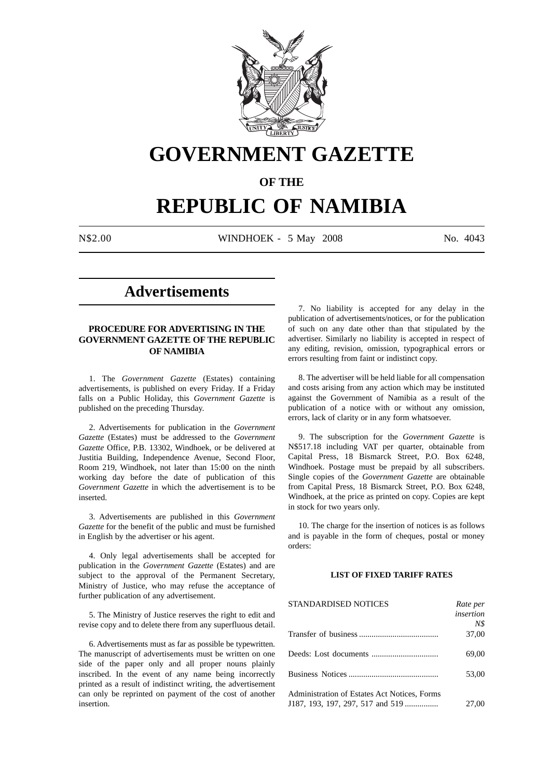

# **GOVERNMENT GAZETTE**

# **OF THE**

# **REPUBLIC OF NAMIBIA**

N\$2.00 WINDHOEK - 5 May 2008 No. 4043

# **Advertisements**

# **PROCEDURE FOR ADVERTISING IN THE GOVERNMENT GAZETTE OF THE REPUBLIC OF NAMIBIA**

1. The *Government Gazette* (Estates) containing advertisements, is published on every Friday. If a Friday falls on a Public Holiday, this *Government Gazette* is published on the preceding Thursday.

2. Advertisements for publication in the *Government Gazette* (Estates) must be addressed to the *Government Gazette* Office, P.B. 13302, Windhoek, or be delivered at Justitia Building, Independence Avenue, Second Floor, Room 219, Windhoek, not later than 15:00 on the ninth working day before the date of publication of this *Government Gazette* in which the advertisement is to be inserted.

3. Advertisements are published in this *Government Gazette* for the benefit of the public and must be furnished in English by the advertiser or his agent.

4. Only legal advertisements shall be accepted for publication in the *Government Gazette* (Estates) and are subject to the approval of the Permanent Secretary, Ministry of Justice, who may refuse the acceptance of further publication of any advertisement.

5. The Ministry of Justice reserves the right to edit and revise copy and to delete there from any superfluous detail.

6. Advertisements must as far as possible be typewritten. The manuscript of advertisements must be written on one side of the paper only and all proper nouns plainly inscribed. In the event of any name being incorrectly printed as a result of indistinct writing, the advertisement can only be reprinted on payment of the cost of another insertion.

7. No liability is accepted for any delay in the publication of advertisements/notices, or for the publication of such on any date other than that stipulated by the advertiser. Similarly no liability is accepted in respect of any editing, revision, omission, typographical errors or errors resulting from faint or indistinct copy.

8. The advertiser will be held liable for all compensation and costs arising from any action which may be instituted against the Government of Namibia as a result of the publication of a notice with or without any omission, errors, lack of clarity or in any form whatsoever.

9. The subscription for the *Government Gazette* is N\$517.18 including VAT per quarter, obtainable from Capital Press, 18 Bismarck Street, P.O. Box 6248, Windhoek. Postage must be prepaid by all subscribers. Single copies of the *Government Gazette* are obtainable from Capital Press, 18 Bismarck Street, P.O. Box 6248, Windhoek, at the price as printed on copy. Copies are kept in stock for two years only.

10. The charge for the insertion of notices is as follows and is payable in the form of cheques, postal or money orders:

# **LIST OF FIXED TARIFF RATES**

| <b>STANDARDISED NOTICES</b>                  | Rate per  |
|----------------------------------------------|-----------|
|                                              | insertion |
|                                              | N\$       |
|                                              | 37,00     |
|                                              | 69,00     |
|                                              | 53,00     |
| Administration of Estates Act Notices, Forms |           |
| J187, 193, 197, 297, 517 and 519             | 27,00     |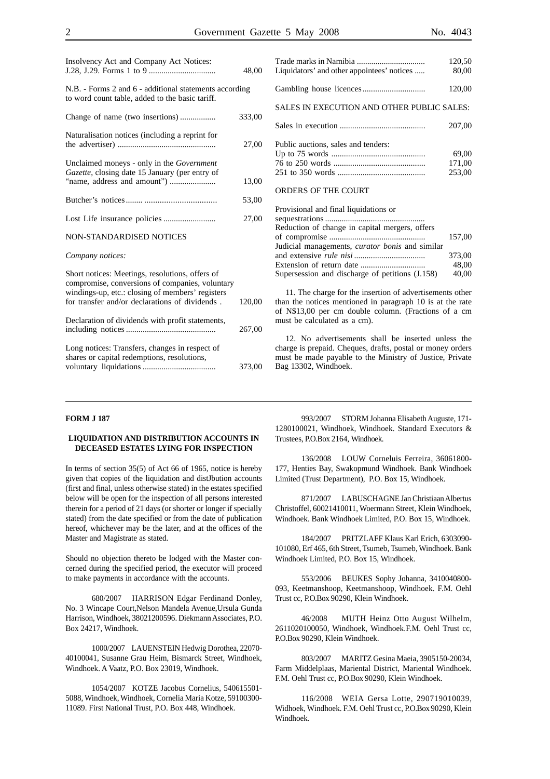|                                                                                                                                                                                                          | 48,00  |
|----------------------------------------------------------------------------------------------------------------------------------------------------------------------------------------------------------|--------|
| N.B. - Forms 2 and 6 - additional statements according<br>to word count table, added to the basic tariff.                                                                                                |        |
|                                                                                                                                                                                                          | 333,00 |
| Naturalisation notices (including a reprint for                                                                                                                                                          | 27,00  |
| Unclaimed moneys - only in the Government<br>Gazette, closing date 15 January (per entry of                                                                                                              | 13,00  |
|                                                                                                                                                                                                          | 53,00  |
|                                                                                                                                                                                                          | 27,00  |
| NON-STANDARDISED NOTICES                                                                                                                                                                                 |        |
| Company notices:                                                                                                                                                                                         |        |
| Short notices: Meetings, resolutions, offers of<br>compromise, conversions of companies, voluntary<br>windings-up, etc.: closing of members' registers<br>for transfer and/or declarations of dividends. | 120,00 |
| Declaration of dividends with profit statements,                                                                                                                                                         | 267,00 |
| Long notices: Transfers, changes in respect of<br>shares or capital redemptions, resolutions,                                                                                                            | 373,00 |

Insolvency Act and Company Act Notices:

| Liquidators' and other appointees' notices | 120,50<br>80,00 |
|--------------------------------------------|-----------------|
|                                            | 120,00          |
| SALES IN EXECUTION AND OTHER PUBLIC SALES: |                 |
|                                            | 207,00          |

| Public auctions, sales and tenders: |        |
|-------------------------------------|--------|
|                                     | 69.00  |
|                                     | 171.00 |
|                                     | 253.00 |

#### ORDERS OF THE COURT

| Provisional and final liquidations or                  |        |
|--------------------------------------------------------|--------|
|                                                        |        |
| Reduction of change in capital mergers, offers         |        |
|                                                        | 157.00 |
| Judicial managements, <i>curator bonis</i> and similar |        |
|                                                        | 373.00 |
|                                                        | 48.00  |
| Supersession and discharge of petitions (J.158)        | 40,00  |
|                                                        |        |

11. The charge for the insertion of advertisements other than the notices mentioned in paragraph 10 is at the rate of N\$13,00 per cm double column. (Fractions of a cm must be calculated as a cm).

12. No advertisements shall be inserted unless the charge is prepaid. Cheques, drafts, postal or money orders must be made payable to the Ministry of Justice, Private Bag 13302, Windhoek.

#### **FORM J 187**

#### **LIQUIDATION AND DISTRIBUTION ACCOUNTS IN DECEASED ESTATES LYING FOR INSPECTION**

In terms of section 35(5) of Act 66 of 1965, notice is hereby given that copies of the liquidation and distJbution accounts (first and final, unless otherwise stated) in the estates specified below will be open for the inspection of all persons interested therein for a period of 21 days (or shorter or longer if specially stated) from the date specified or from the date of publication hereof, whichever may be the later, and at the offices of the Master and Magistrate as stated.

Should no objection thereto be lodged with the Master concerned during the specified period, the executor will proceed to make payments in accordance with the accounts.

680/2007 HARRISON Edgar Ferdinand Donley, No. 3 Wincape Court,Nelson Mandela Avenue,Ursula Gunda Harrison, Windhoek, 38021200596. Diekmann Associates, P.O. Box 24217, Windhoek.

1000/2007 LAUENSTEIN Hedwig Dorothea, 22070- 40100041, Susanne Grau Heim, Bismarck Street, Windhoek, Windhoek. A Vaatz, P.O. Box 23019, Windhoek.

1054/2007 KOTZE Jacobus Cornelius, 540615501- 5088, Windhoek, Windhoek, Cornelia Maria Kotze, 59100300- 11089. First National Trust, P.O. Box 448, Windhoek.

993/2007 STORM Johanna Elisabeth Auguste, 171- 1280100021, Windhoek, Windhoek. Standard Executors & Trustees, P.O.Box 2164, Windhoek.

136/2008 LOUW Corneluis Ferreira, 36061800- 177, Henties Bay, Swakopmund Windhoek. Bank Windhoek Limited (Trust Department), P.O. Box 15, Windhoek.

871/2007 LABUSCHAGNE Jan Christiaan Albertus Christoffel, 60021410011, Woermann Street, Klein Windhoek, Windhoek. Bank Windhoek Limited, P.O. Box 15, Windhoek.

184/2007 PRITZLAFF Klaus Karl Erich, 6303090- 101080, Erf 465, 6th Street, Tsumeb, Tsumeb, Windhoek. Bank Windhoek Limited, P.O. Box 15, Windhoek.

553/2006 BEUKES Sophy Johanna, 3410040800- 093, Keetmanshoop, Keetmanshoop, Windhoek. F.M. Oehl Trust cc, P.O.Box 90290, Klein Windhoek.

46/2008 MUTH Heinz Otto August Wilhelm, 2611020100050, Windhoek, Windhoek.F.M. Oehl Trust cc, P.O.Box 90290, Klein Windhoek.

803/2007 MARITZ Gesina Maeia, 3905150-20034, Farm Middelplaas, Mariental District, Mariental Windhoek. F.M. Oehl Trust cc, P.O.Box 90290, Klein Windhoek.

116/2008 WEIA Gersa Lotte, 290719010039, Widhoek, Windhoek. F.M. Oehl Trust cc, P.O.Box 90290, Klein Windhoek.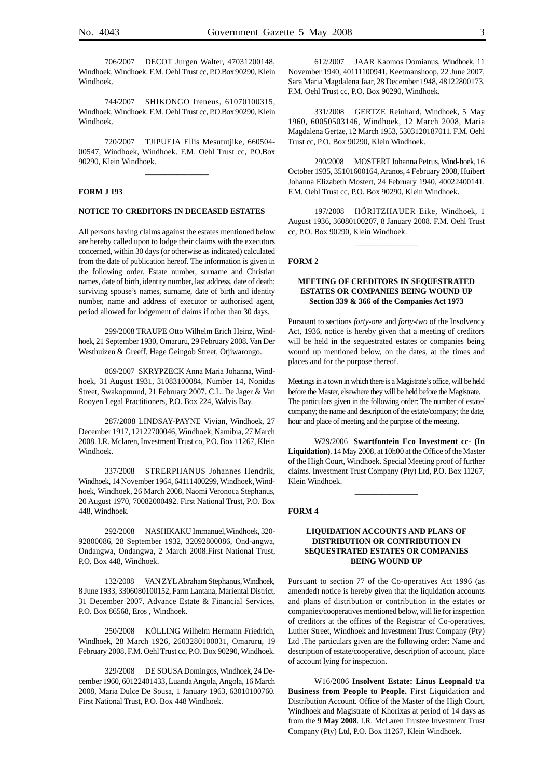706/2007 DECOT Jurgen Walter, 47031200148, Windhoek, Windhoek. F.M. Oehl Trust cc, P.O.Box 90290, Klein Windhoek.

744/2007 SHIKONGO Ireneus, 61070100315, Windhoek, Windhoek. F.M. Oehl Trust cc, P.O.Box 90290, Klein Windhoek.

720/2007 TJIPUEJA Ellis Mesututjike, 660504- 00547, Windhoek, Windhoek. F.M. Oehl Trust cc, P.O.Box 90290, Klein Windhoek.

 $\overline{\phantom{a}}$  . The state of the state of the state of the state of the state of the state of the state of the state of the state of the state of the state of the state of the state of the state of the state of the state of

#### **FORM J 193**

# **NOTICE TO CREDITORS IN DECEASED ESTATES**

All persons having claims against the estates mentioned below are hereby called upon to lodge their claims with the executors concerned, within 30 days (or otherwise as indicated) calculated from the date of publication hereof. The information is given in the following order. Estate number, surname and Christian names, date of birth, identity number, last address, date of death; surviving spouse's names, surname, date of birth and identity number, name and address of executor or authorised agent, period allowed for lodgement of claims if other than 30 days.

299/2008 TRAUPE Otto Wilhelm Erich Heinz, Windhoek, 21 September 1930, Omaruru, 29 February 2008. Van Der Westhuizen & Greeff, Hage Geingob Street, Otjiwarongo.

869/2007 SKRYPZECK Anna Maria Johanna, Windhoek, 31 August 1931, 31083100084, Number 14, Nonidas Street, Swakopmund, 21 February 2007. C.L. De Jager & Van Rooyen Legal Practitioners, P.O. Box 224, Walvis Bay.

287/2008 LINDSAY-PAYNE Vivian, Windhoek, 27 December 1917, 12122700046, Windhoek, Namibia, 27 March 2008. I.R. Mclaren, Investment Trust co, P.O. Box 11267, Klein Windhoek.

337/2008 STRERPHANUS Johannes Hendrik, Windhoek, 14 November 1964, 64111400299, Windhoek, Windhoek, Windhoek, 26 March 2008, Naomi Veronoca Stephanus, 20 August 1970, 70082000492. First National Trust, P.O. Box 448, Windhoek.

292/2008 NASHIKAKU Immanuel,Windhoek, 320- 92800086, 28 September 1932, 32092800086, Ond-angwa, Ondangwa, Ondangwa, 2 March 2008.First National Trust, P.O. Box 448, Windhoek.

132/2008 VAN ZYL Abraham Stephanus, Windhoek, 8 June 1933, 3306080100152, Farm Lantana, Mariental District, 31 December 2007. Advance Estate & Financial Services, P.O. Box 86568, Eros , Windhoek.

250/2008 KÖLLING Wilhelm Hermann Friedrich, Windhoek, 28 March 1926, 2603280100031, Omaruru, 19 February 2008. F.M. Oehl Trust cc, P.O. Box 90290, Windhoek.

329/2008 DE SOUSA Domingos, Windhoek, 24 December 1960, 60122401433, Luanda Angola, Angola, 16 March 2008, Maria Dulce De Sousa, 1 January 1963, 63010100760. First National Trust, P.O. Box 448 Windhoek.

612/2007 JAAR Kaomos Domianus, Windhoek, 11 November 1940, 40111100941, Keetmanshoop, 22 June 2007, Sara Maria Magdalena Jaar, 28 December 1948, 48122800173. F.M. Oehl Trust cc, P.O. Box 90290, Windhoek.

331/2008 GERTZE Reinhard, Windhoek, 5 May 1960, 60050503146, Windhoek, 12 March 2008, Maria Magdalena Gertze, 12 March 1953, 5303120187011. F.M. Oehl Trust cc, P.O. Box 90290, Klein Windhoek.

290/2008 MOSTERT Johanna Petrus, Wind-hoek, 16 October 1935, 35101600164, Aranos, 4 February 2008, Huibert Johanna Elizabeth Mostert, 24 February 1940, 40022400141. F.M. Oehl Trust cc, P.O. Box 90290, Klein Windhoek.

197/2008 HÖRITZHAUER Eike, Windhoek, 1 August 1936, 36080100207, 8 January 2008. F.M. Oehl Trust cc, P.O. Box 90290, Klein Windhoek.

 $\overline{\phantom{a}}$ 

# **FORM 2**

# **MEETING OF CREDITORS IN SEQUESTRATED ESTATES OR COMPANIES BEING WOUND UP Section 339 & 366 of the Companies Act 1973**

Pursuant to sections *forty-one* and *forty-two* of the Insolvency Act, 1936, notice is hereby given that a meeting of creditors will be held in the sequestrated estates or companies being wound up mentioned below, on the dates, at the times and places and for the purpose thereof.

Meetings in a town in which there is a Magistrate's office, will be held before the Master, elsewhere they will be held before the Magistrate. The particulars given in the following order: The number of estate/ company; the name and description of the estate/company; the date, hour and place of meeting and the purpose of the meeting.

W29/2006 **Swartfontein Eco Investment cc- (In Liquidation)**. 14 May 2008, at 10h00 at the Office of the Master of the High Court, Windhoek. Special Meeting proof of further claims. Investment Trust Company (Pty) Ltd, P.O. Box 11267, Klein Windhoek.

\_\_\_\_\_\_\_\_\_\_\_\_\_\_\_\_

#### **FORM 4**

#### **LIQUIDATION ACCOUNTS AND PLANS OF DISTRIBUTION OR CONTRIBUTION IN SEQUESTRATED ESTATES OR COMPANIES BEING WOUND UP**

Pursuant to section 77 of the Co-operatives Act 1996 (as amended) notice is hereby given that the liquidation accounts and plans of distribution or contribution in the estates or companies/cooperatives mentioned below, will lie for inspection of creditors at the offices of the Registrar of Co-operatives, Luther Street, Windhoek and Investment Trust Company (Pty) Ltd .The particulars given are the following order: Name and description of estate/cooperative, description of account, place of account lying for inspection.

W16/2006 **Insolvent Estate: Linus Leopnald t/a Business from People to People.** First Liquidation and Distribution Account. Office of the Master of the High Court, Windhoek and Magistrate of Khorixas at period of 14 days as from the **9 May 2008**. I.R. McLaren Trustee Investment Trust Company (Pty) Ltd, P.O. Box 11267, Klein Windhoek.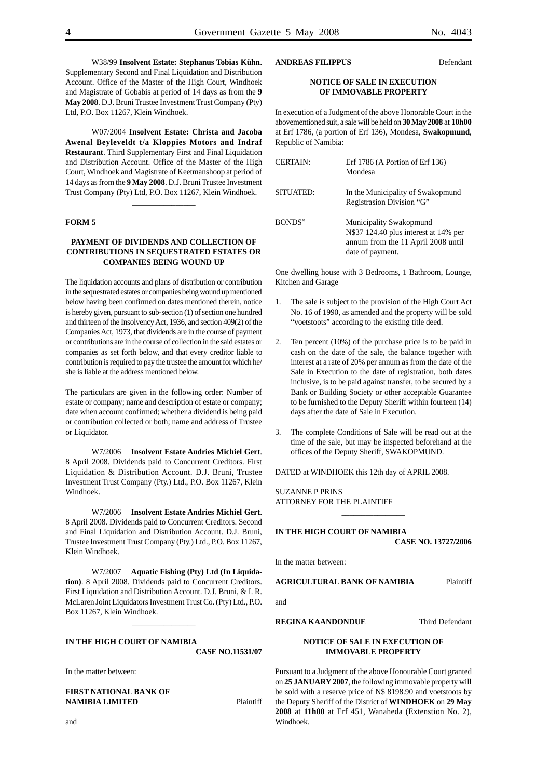W38/99 **Insolvent Estate: Stephanus Tobias Kühn**. Supplementary Second and Final Liquidation and Distribution Account. Office of the Master of the High Court, Windhoek and Magistrate of Gobabis at period of 14 days as from the **9 May 2008**. D.J. Bruni Trustee Investment Trust Company (Pty) Ltd, P.O. Box 11267, Klein Windhoek.

W07/2004 **Insolvent Estate: Christa and Jacoba Awenal Beyleveldt t/a Kloppies Motors and Indraf Restaurant**. Third Supplementary First and Final Liquidation and Distribution Account. Office of the Master of the High Court, Windhoek and Magistrate of Keetmanshoop at period of 14 days as from the **9 May 2008**. D.J. Bruni Trustee Investment Trust Company (Pty) Ltd, P.O. Box 11267, Klein Windhoek.

\_\_\_\_\_\_\_\_\_\_\_\_\_\_\_\_

# **FORM 5**

#### **PAYMENT OF DIVIDENDS AND COLLECTION OF CONTRIBUTIONS IN SEQUESTRATED ESTATES OR COMPANIES BEING WOUND UP**

The liquidation accounts and plans of distribution or contribution in the sequestrated estates or companies being wound up mentioned below having been confirmed on dates mentioned therein, notice is hereby given, pursuant to sub-section (1) of section one hundred and thirteen of the Insolvency Act, 1936, and section 409(2) of the Companies Act, 1973, that dividends are in the course of payment or contributions are in the course of collection in the said estates or companies as set forth below, and that every creditor liable to contribution is required to pay the trustee the amount for which he/ she is liable at the address mentioned below.

The particulars are given in the following order: Number of estate or company; name and description of estate or company; date when account confirmed; whether a dividend is being paid or contribution collected or both; name and address of Trustee or Liquidator.

W7/2006 **Insolvent Estate Andries Michiel Gert**. 8 April 2008. Dividends paid to Concurrent Creditors. First Liquidation & Distribution Account. D.J. Bruni, Trustee Investment Trust Company (Pty.) Ltd., P.O. Box 11267, Klein Windhoek.

W7/2006 **Insolvent Estate Andries Michiel Gert**. 8 April 2008. Dividends paid to Concurrent Creditors. Second and Final Liquidation and Distribution Account. D.J. Bruni, Trustee Investment Trust Company (Pty.) Ltd., P.O. Box 11267, Klein Windhoek.

W7/2007 **Aquatic Fishing (Pty) Ltd (In Liquidation)**. 8 April 2008. Dividends paid to Concurrent Creditors. First Liquidation and Distribution Account. D.J. Bruni, & I. R. McLaren Joint Liquidators Investment Trust Co. (Pty) Ltd., P.O. Box 11267, Klein Windhoek.

\_\_\_\_\_\_\_\_\_\_\_\_\_\_\_\_

# **IN THE HIGH COURT OF NAMIBIA**

**CASE NO.11531/07**

In the matter between:

**FIRST NATIONAL BANK OF NAMIBIA LIMITED** Plaintiff **ANDREAS FILIPPUS** Defendant

#### **NOTICE OF SALE IN EXECUTION OF IMMOVABLE PROPERTY**

In execution of a Judgment of the above Honorable Court in the abovementioned suit, a sale will be held on **30 May 2008** at **10h00** at Erf 1786, (a portion of Erf 136), Mondesa, **Swakopmund**, Republic of Namibia:

| <b>CERTAIN:</b> | Erf $1786$ (A Portion of Erf $136$ )<br>Mondesa                                                                            |
|-----------------|----------------------------------------------------------------------------------------------------------------------------|
| SITUATED:       | In the Municipality of Swakopmund<br>Registrasion Division "G"                                                             |
| BONDS"          | Municipality Swakopmund<br>N\$37 124.40 plus interest at 14% per<br>annum from the 11 April 2008 until<br>date of payment. |

One dwelling house with 3 Bedrooms, 1 Bathroom, Lounge, Kitchen and Garage

- 1. The sale is subject to the provision of the High Court Act No. 16 of 1990, as amended and the property will be sold "voetstoots" according to the existing title deed.
- 2. Ten percent (10%) of the purchase price is to be paid in cash on the date of the sale, the balance together with interest at a rate of 20% per annum as from the date of the Sale in Execution to the date of registration, both dates inclusive, is to be paid against transfer, to be secured by a Bank or Building Society or other acceptable Guarantee to be furnished to the Deputy Sheriff within fourteen (14) days after the date of Sale in Execution.
- 3. The complete Conditions of Sale will be read out at the time of the sale, but may be inspected beforehand at the offices of the Deputy Sheriff, SWAKOPMUND.

\_\_\_\_\_\_\_\_\_\_\_\_\_\_\_\_

DATED at WINDHOEK this 12th day of APRIL 2008.

SUZANNE P PRINS ATTORNEY FOR THE PLAINTIFF

#### **IN THE HIGH COURT OF NAMIBIA**

**CASE NO. 13727/2006**

In the matter between:

**AGRICULTURAL BANK OF NAMIBIA** Plaintiff

and

**REGINA KAANDONDUE** Third Defendant

# **NOTICE OF SALE IN EXECUTION OF IMMOVABLE PROPERTY**

Pursuant to a Judgment of the above Honourable Court granted on **25 JANUARY 2007**, the following immovable property will be sold with a reserve price of N\$ 8198.90 and voetstoots by the Deputy Sheriff of the District of **WINDHOEK** on **29 May 2008** at **11h00** at Erf 451, Wanaheda (Extenstion No. 2), Windhoek.

and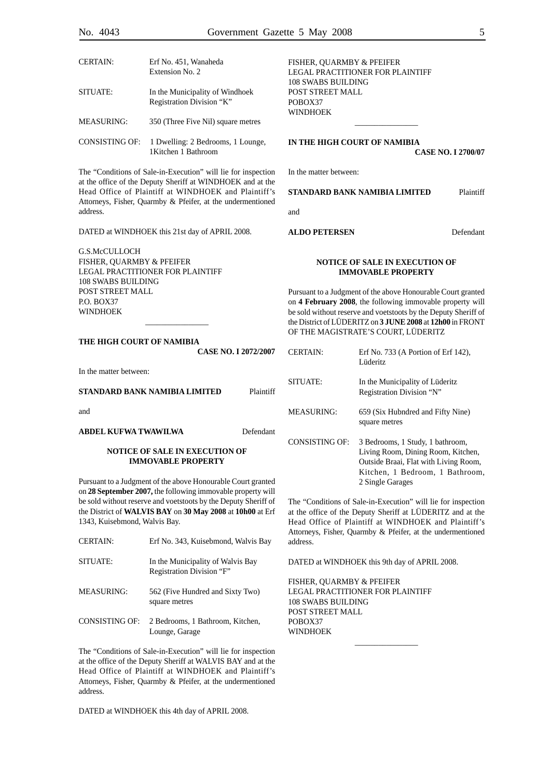| <b>CERTAIN:</b> | Erf No. 451, Wanaheda<br>Extension No. 2                     |
|-----------------|--------------------------------------------------------------|
| SITUATE:        | In the Municipality of Windhoek<br>Registration Division "K" |
| MEASURING:      | 350 (Three Five Nil) square metres                           |
| CONSISTING OF:  | 1 Dwelling: 2 Bedrooms, 1 Lounge,<br>1 Kitchen 1 Bathroom    |

The "Conditions of Sale-in-Execution" will lie for inspection at the office of the Deputy Sheriff at WINDHOEK and at the Head Office of Plaintiff at WINDHOEK and Plaintiff's Attorneys, Fisher, Quarmby & Pfeifer, at the undermentioned address.

DATED at WINDHOEK this 21st day of APRIL 2008.

G.S.McCULLOCH FISHER, QUARMBY & PFEIFER LEGAL PRACTITIONER FOR PLAINTIFF 108 SWABS BUILDING POST STREET MALL P.O. BOX37 WINDHOEK

#### **THE HIGH COURT OF NAMIBIA**

|                               | <b>CASE NO. I 2072/2007</b> |           |
|-------------------------------|-----------------------------|-----------|
| In the matter between:        |                             |           |
| STANDARD BANK NAMIBIA LIMITED |                             | Plaintiff |
| and                           |                             |           |

\_\_\_\_\_\_\_\_\_\_\_\_\_\_\_\_

**ABDEL KUFWA TWAWILWA** Defendant

#### **NOTICE OF SALE IN EXECUTION OF IMMOVABLE PROPERTY**

Pursuant to a Judgment of the above Honourable Court granted on **28 September 2007,** the following immovable property will be sold without reserve and voetstoots by the Deputy Sheriff of the District of **WALVIS BAY** on **30 May 2008** at **10h00** at Erf 1343, Kuisebmond, Walvis Bay.

| <b>CERTAIN:</b> | Erf No. 343, Kuisebmond, Walvis Bay                            |
|-----------------|----------------------------------------------------------------|
| SITUATE:        | In the Municipality of Walvis Bay<br>Registration Division "F" |
| MEASURING:      | 562 (Five Hundred and Sixty Two)<br>square metres              |
| CONSISTING OF:  | 2 Bedrooms, 1 Bathroom, Kitchen,<br>Lounge, Garage             |

The "Conditions of Sale-in-Execution" will lie for inspection at the office of the Deputy Sheriff at WALVIS BAY and at the Head Office of Plaintiff at WINDHOEK and Plaintiff's Attorneys, Fisher, Quarmby & Pfeifer, at the undermentioned address.

DATED at WINDHOEK this 4th day of APRIL 2008.

FISHER, QUARMBY & PFEIFER LEGAL PRACTITIONER FOR PLAINTIFF 108 SWABS BUILDING POST STREET MALL POBOX37 WINDHOEK

# **IN THE HIGH COURT OF NAMIBIA CASE NO. I 2700/07**

 $\overline{\phantom{a}}$ 

In the matter between:

**STANDARD BANK NAMIBIA LIMITED** Plaintiff

and

#### **ALDO PETERSEN** Defendant

#### **NOTICE OF SALE IN EXECUTION OF IMMOVABLE PROPERTY**

Pursuant to a Judgment of the above Honourable Court granted on **4 February 2008**, the following immovable property will be sold without reserve and voetstoots by the Deputy Sheriff of the District of LÜDERITZ on **3 JUNE 2008** at **12h00** in FRONT OF THE MAGISTRATE'S COURT, LÜDERITZ

| CERTAIN:       | Erf No. $733$ (A Portion of Erf $142$ ),<br>Lüderitz                                                                                                                   |
|----------------|------------------------------------------------------------------------------------------------------------------------------------------------------------------------|
| SITUATE:       | In the Municipality of Lüderitz<br>Registration Division "N"                                                                                                           |
| MEASURING:     | 659 (Six Hubndred and Fifty Nine)<br>square metres                                                                                                                     |
| CONSISTING OF: | 3 Bedrooms, 1 Study, 1 bathroom,<br>Living Room, Dining Room, Kitchen,<br>Outside Braai, Flat with Living Room,<br>Kitchen, 1 Bedroom, 1 Bathroom,<br>2 Single Garages |

The "Conditions of Sale-in-Execution" will lie for inspection at the office of the Deputy Sheriff at LÜDERITZ and at the Head Office of Plaintiff at WINDHOEK and Plaintiff's Attorneys, Fisher, Quarmby & Pfeifer, at the undermentioned address.

 $\overline{\phantom{a}}$ 

DATED at WINDHOEK this 9th day of APRIL 2008.

FISHER, QUARMBY & PFEIFER LEGAL PRACTITIONER FOR PLAINTIFF 108 SWABS BUILDING POST STREET MALL POBOX37 WINDHOEK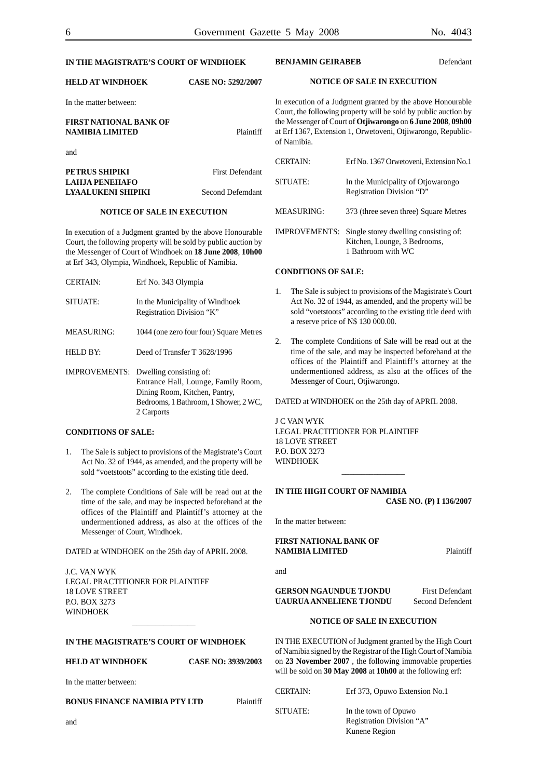# **IN THE MAGISTRATE'S COURT OF WINDHOEK**

# **HELD AT WINDHOEK CASE NO: 5292/2007**

In the matter between:

# **FIRST NATIONAL BANK OF NAMIBIA LIMITED** Plaintiff and **PETRUS SHIPIKI** First Defendant **LAHJA PENEHAFO LYAALUKENI SHIPIKI** Second Defemdant

#### **NOTICE OF SALE IN EXECUTION**

In execution of a Judgment granted by the above Honourable Court, the following property will be sold by public auction by the Messenger of Court of Windhoek on **18 June 2008**, **10h00** at Erf 343, Olympia, Windhoek, Republic of Namibia.

| <b>CERTAIN:</b>      | Erf No. 343 Olympia                                                                                                                                    |
|----------------------|--------------------------------------------------------------------------------------------------------------------------------------------------------|
| SITUATE:             | In the Municipality of Windhoek<br>Registration Division "K"                                                                                           |
| <b>MEASURING:</b>    | 1044 (one zero four four) Square Metres                                                                                                                |
| HELD BY:             | Deed of Transfer T 3628/1996                                                                                                                           |
| <b>IMPROVEMENTS:</b> | Dwelling consisting of:<br>Entrance Hall, Lounge, Family Room,<br>Dining Room, Kitchen, Pantry,<br>Bedrooms, 1 Bathroom, 1 Shower, 2 WC,<br>2 Carports |

# **CONDITIONS OF SALE:**

- 1. The Sale is subject to provisions of the Magistrate's Court Act No. 32 of 1944, as amended, and the property will be sold "voetstoots" according to the existing title deed.
- 2. The complete Conditions of Sale will be read out at the time of the sale, and may be inspected beforehand at the offices of the Plaintiff and Plaintiff's attorney at the undermentioned address, as also at the offices of the Messenger of Court, Windhoek.

DATED at WINDHOEK on the 25th day of APRIL 2008.

J.C. VAN WYK LEGAL PRACTITIONER FOR PLAINTIFF 18 LOVE STREET P.O. BOX 3273 **WINDHOEK** 

# **IN THE MAGISTRATE'S COURT OF WINDHOEK**

\_\_\_\_\_\_\_\_\_\_\_\_\_\_\_\_

**HELD AT WINDHOEK CASE NO: 3939/2003**

In the matter between:

**BONUS FINANCE NAMIBIA PTY LTD** Plaintiff

#### **BENJAMIN GEIRABEB** Defendant

#### **NOTICE OF SALE IN EXECUTION**

In execution of a Judgment granted by the above Honourable Court, the following property will be sold by public auction by the Messenger of Court of **Otjiwarongo** on **6 June 2008**, **09h00** at Erf 1367, Extension 1, Orwetoveni, Otjiwarongo, Republicof Namibia.

| <b>CERTAIN:</b>   | Erf No. 1367 Orwetoveni, Extension No.1                         |
|-------------------|-----------------------------------------------------------------|
| SITUATE:          | In the Municipality of Otjowarongo<br>Registration Division "D" |
| <b>MEASURING:</b> | 373 (three seven three) Square Metres                           |
|                   | <b>IMPROVEMENTS:</b> Single storey dwelling consisting of:      |

Kitchen, Lounge, 3 Bedrooms, 1 Bathroom with WC

# **CONDITIONS OF SALE:**

- 1. The Sale is subject to provisions of the Magistrate's Court Act No. 32 of 1944, as amended, and the property will be sold "voetstoots" according to the existing title deed with a reserve price of N\$ 130 000.00.
- 2. The complete Conditions of Sale will be read out at the time of the sale, and may be inspected beforehand at the offices of the Plaintiff and Plaintiff's attorney at the undermentioned address, as also at the offices of the Messenger of Court, Otjiwarongo.

DATED at WINDHOEK on the 25th day of APRIL 2008.

J C VAN WYK LEGAL PRACTITIONER FOR PLAINTIFF 18 LOVE STREET P.O. BOX 3273 WINDHOEK \_\_\_\_\_\_\_\_\_\_\_\_\_\_\_\_

# **IN THE HIGH COURT OF NAMIBIA CASE NO. (P) I 136/2007**

In the matter between:

#### **FIRST NATIONAL BANK OF NAMIBIA LIMITED** Plaintiff

and

**GERSON NGAUNDUE TJONDU** First Defendant **UAURUA ANNELIENE TJONDU** Second Defendent

# **NOTICE OF SALE IN EXECUTION**

IN THE EXECUTION of Judgment granted by the High Court of Namibia signed by the Registrar of the High Court of Namibia on **23 November 2007** , the following immovable properties will be sold on **30 May 2008** at **10h00** at the following erf:

and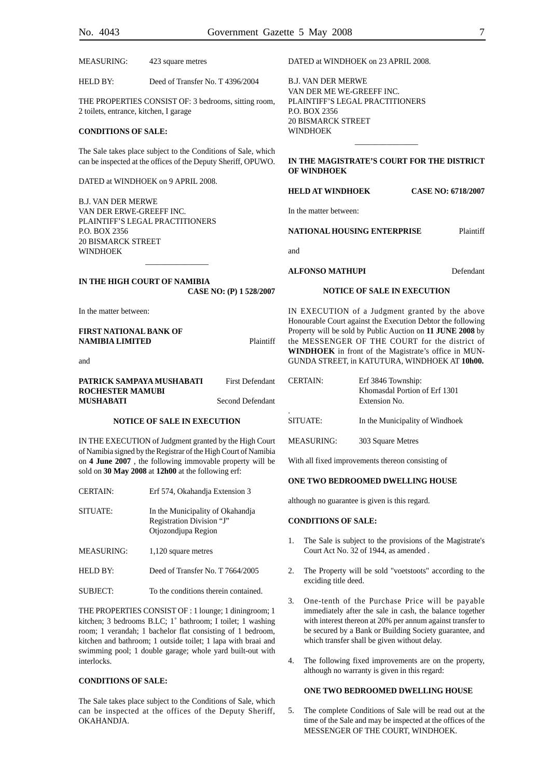MEASURING: 423 square metres

HELD BY: Deed of Transfer No. T 4396/2004

THE PROPERTIES CONSIST OF: 3 bedrooms, sitting room, 2 toilets, entrance, kitchen, I garage

#### **CONDITIONS OF SALE:**

The Sale takes place subject to the Conditions of Sale, which can be inspected at the offices of the Deputy Sheriff, OPUWO.

DATED at WINDHOEK on 9 APRIL 2008.

B.J. VAN DER MERWE VAN DER ERWE-GREEFF INC. PLAINTIFF'S LEGAL PRACTITIONERS P.O. BOX 2356 20 BISMARCK STREET **WINDHOEK** 

DATED at WINDHOEK on 23 APRIL 2008.

B.J. VAN DER MERWE VAN DER ME WE-GREEFF INC. PLAINTIFF'S LEGAL PRACTITIONERS P.O. BOX 2356 20 BISMARCK STREET WINDHOEK

#### **IN THE MAGISTRATE'S COURT FOR THE DISTRICT OF WINDHOEK**

 $\overline{\phantom{a}}$ 

# **HELD AT WINDHOEK CASE NO: 6718/2007**

In the matter between:

#### **NATIONAL HOUSING ENTERPRISE** Plaintiff

and

#### **ALFONSO MATHUPI** Defendant

#### **IN THE HIGH COURT OF NAMIBIA CASE NO: (P) 1 528/2007**

\_\_\_\_\_\_\_\_\_\_\_\_\_\_\_\_

In the matter between:

**FIRST NATIONAL BANK OF NAMIBIA LIMITED** Plaintiff

and

#### **PATRICK SAMPAYA MUSHABATI** First Defendant **ROCHESTER MAMUBI Second Defendant**

# **NOTICE OF SALE IN EXECUTION**

IN THE EXECUTION of Judgment granted by the High Court of Namibia signed by the Registrar of the High Court of Namibia on **4 June 2007** , the following immovable property will be sold on **30 May 2008** at **12h00** at the following erf:

| <b>CERTAIN:</b>   | Erf 574, Okahandja Extension 3                                                       |
|-------------------|--------------------------------------------------------------------------------------|
| SITUATE:          | In the Municipality of Okahandja<br>Registration Division "J"<br>Otjozondjupa Region |
| <b>MEASURING:</b> | 1,120 square metres                                                                  |
| <b>HELD BY:</b>   | Deed of Transfer No. T 7664/2005                                                     |
|                   |                                                                                      |

SUBJECT: To the conditions therein contained.

THE PROPERTIES CONSIST OF : 1 lounge; 1 diningroom; 1 kitchen; 3 bedrooms B.LC; 1˚ bathroom; I toilet; 1 washing room; 1 verandah; 1 bachelor flat consisting of 1 bedroom, kitchen and bathroom; 1 outside toilet; 1 lapa with braai and swimming pool; 1 double garage; whole yard built-out with interlocks.

#### **CONDITIONS OF SALE:**

The Sale takes place subject to the Conditions of Sale, which can be inspected at the offices of the Deputy Sheriff, OKAHANDJA.

IN EXECUTION of a Judgment granted by the above Honourable Court against the Execution Debtor the following Property will be sold by Public Auction on **11 JUNE 2008** by the MESSENGER OF THE COURT for the district of **WINDHOEK** in front of the Magistrate's office in MUN-GUNDA STREET, in KATUTURA, WINDHOEK AT **10h00.**

**NOTICE OF SALE IN EXECUTION**

| <b>CERTAIN:</b> | Erf 3846 Township:<br>Khomasdal Portion of Erf 1301<br>Extension No. |  |  |  |  |
|-----------------|----------------------------------------------------------------------|--|--|--|--|
| ٠<br>SITUATE:   | In the Municipality of Windhoek                                      |  |  |  |  |
| MEASURING:      | 303 Square Metres                                                    |  |  |  |  |

With all fixed improvements thereon consisting of

# **ONE TWO BEDROOMED DWELLING HOUSE**

although no guarantee is given is this regard.

# **CONDITIONS OF SALE:**

- 1. The Sale is subject to the provisions of the Magistrate's Court Act No. 32 of 1944, as amended .
- 2. The Property will be sold "voetstoots" according to the exciding title deed.
- 3. One-tenth of the Purchase Price will be payable immediately after the sale in cash, the balance together with interest thereon at 20% per annum against transfer to be secured by a Bank or Building Society guarantee, and which transfer shall be given without delay.
- 4. The following fixed improvements are on the property, although no warranty is given in this regard:

#### **ONE TWO BEDROOMED DWELLING HOUSE**

5. The complete Conditions of Sale will be read out at the time of the Sale and may be inspected at the offices of the MESSENGER OF THE COURT, WINDHOEK.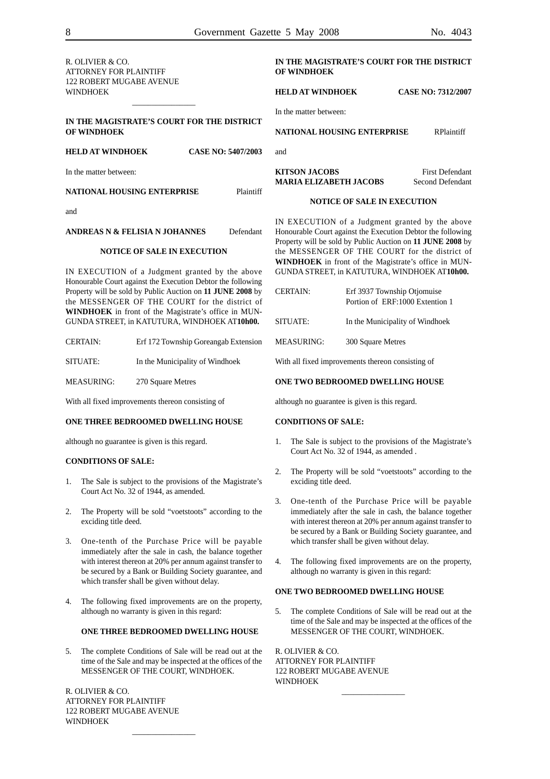| R. OLIVIER & CO.<br><b>ATTORNEY FOR PLAINTIFF</b><br><b>122 ROBERT MUGABE AVENUE</b>                                                                                                                                                                                                                                                                                                                                                                                                   |                                                                                 |                                                                                                                                                                                                                                                                                      | IN THE MAGISTRATE'S COURT FOR THE DISTRICT<br><b>OF WINDHOEK</b>                                                                                                                                                               |                                                                                                    |                                                                                                                                                                                                                                      |  |                  |                        |  |
|----------------------------------------------------------------------------------------------------------------------------------------------------------------------------------------------------------------------------------------------------------------------------------------------------------------------------------------------------------------------------------------------------------------------------------------------------------------------------------------|---------------------------------------------------------------------------------|--------------------------------------------------------------------------------------------------------------------------------------------------------------------------------------------------------------------------------------------------------------------------------------|--------------------------------------------------------------------------------------------------------------------------------------------------------------------------------------------------------------------------------|----------------------------------------------------------------------------------------------------|--------------------------------------------------------------------------------------------------------------------------------------------------------------------------------------------------------------------------------------|--|------------------|------------------------|--|
| <b>WINDHOEK</b>                                                                                                                                                                                                                                                                                                                                                                                                                                                                        |                                                                                 |                                                                                                                                                                                                                                                                                      |                                                                                                                                                                                                                                |                                                                                                    | <b>HELD AT WINDHOEK</b><br><b>CASE NO: 7312/2007</b>                                                                                                                                                                                 |  |                  |                        |  |
| IN THE MAGISTRATE'S COURT FOR THE DISTRICT<br>OF WINDHOEK                                                                                                                                                                                                                                                                                                                                                                                                                              |                                                                                 |                                                                                                                                                                                                                                                                                      |                                                                                                                                                                                                                                | In the matter between:                                                                             |                                                                                                                                                                                                                                      |  |                  |                        |  |
|                                                                                                                                                                                                                                                                                                                                                                                                                                                                                        |                                                                                 |                                                                                                                                                                                                                                                                                      | <b>NATIONAL HOUSING ENTERPRISE</b><br><b>RPlaintiff</b>                                                                                                                                                                        |                                                                                                    |                                                                                                                                                                                                                                      |  |                  |                        |  |
| <b>HELD AT WINDHOEK</b><br><b>CASE NO: 5407/2003</b>                                                                                                                                                                                                                                                                                                                                                                                                                                   |                                                                                 |                                                                                                                                                                                                                                                                                      |                                                                                                                                                                                                                                | and                                                                                                |                                                                                                                                                                                                                                      |  |                  |                        |  |
|                                                                                                                                                                                                                                                                                                                                                                                                                                                                                        | In the matter between:                                                          |                                                                                                                                                                                                                                                                                      |                                                                                                                                                                                                                                |                                                                                                    | <b>KITSON JACOBS</b>                                                                                                                                                                                                                 |  |                  | <b>First Defendant</b> |  |
| Plaintiff<br>NATIONAL HOUSING ENTERPRISE                                                                                                                                                                                                                                                                                                                                                                                                                                               |                                                                                 |                                                                                                                                                                                                                                                                                      |                                                                                                                                                                                                                                | <b>MARIA ELIZABETH JACOBS</b>                                                                      |                                                                                                                                                                                                                                      |  | Second Defendant |                        |  |
| and                                                                                                                                                                                                                                                                                                                                                                                                                                                                                    |                                                                                 |                                                                                                                                                                                                                                                                                      |                                                                                                                                                                                                                                | <b>NOTICE OF SALE IN EXECUTION</b>                                                                 |                                                                                                                                                                                                                                      |  |                  |                        |  |
| Defendant<br>ANDREAS N & FELISIA N JOHANNES                                                                                                                                                                                                                                                                                                                                                                                                                                            |                                                                                 |                                                                                                                                                                                                                                                                                      | IN EXECUTION of a Judgment granted by the above<br>Honourable Court against the Execution Debtor the following<br>Property will be sold by Public Auction on 11 JUNE 2008 by<br>the MESSENGER OF THE COURT for the district of |                                                                                                    |                                                                                                                                                                                                                                      |  |                  |                        |  |
| <b>NOTICE OF SALE IN EXECUTION</b><br>IN EXECUTION of a Judgment granted by the above<br>Honourable Court against the Execution Debtor the following<br>Property will be sold by Public Auction on 11 JUNE 2008 by<br>the MESSENGER OF THE COURT for the district of<br>WINDHOEK in front of the Magistrate's office in MUN-<br>GUNDA STREET, in KATUTURA, WINDHOEK AT10h00.<br><b>CERTAIN:</b><br>Erf 172 Township Goreangab Extension<br>In the Municipality of Windhoek<br>SITUATE: |                                                                                 |                                                                                                                                                                                                                                                                                      | <b>CERTAIN:</b><br>SITUATE:<br><b>MEASURING:</b>                                                                                                                                                                               | 300 Square Metres<br>With all fixed improvements thereon consisting of                             | WINDHOEK in front of the Magistrate's office in MUN-<br>GUNDA STREET, in KATUTURA, WINDHOEK AT10h00.<br>Erf 3937 Township Otjomuise<br>Portion of ERF:1000 Extention 1<br>In the Municipality of Windhoek                            |  |                  |                        |  |
| <b>MEASURING:</b><br>270 Square Metres                                                                                                                                                                                                                                                                                                                                                                                                                                                 |                                                                                 |                                                                                                                                                                                                                                                                                      |                                                                                                                                                                                                                                | ONE TWO BEDROOMED DWELLING HOUSE                                                                   |                                                                                                                                                                                                                                      |  |                  |                        |  |
| With all fixed improvements thereon consisting of                                                                                                                                                                                                                                                                                                                                                                                                                                      |                                                                                 |                                                                                                                                                                                                                                                                                      |                                                                                                                                                                                                                                | although no guarantee is given is this regard.                                                     |                                                                                                                                                                                                                                      |  |                  |                        |  |
| ONE THREE BEDROOMED DWELLING HOUSE                                                                                                                                                                                                                                                                                                                                                                                                                                                     |                                                                                 |                                                                                                                                                                                                                                                                                      |                                                                                                                                                                                                                                | <b>CONDITIONS OF SALE:</b>                                                                         |                                                                                                                                                                                                                                      |  |                  |                        |  |
| although no guarantee is given is this regard.<br><b>CONDITIONS OF SALE:</b>                                                                                                                                                                                                                                                                                                                                                                                                           |                                                                                 |                                                                                                                                                                                                                                                                                      | 1.                                                                                                                                                                                                                             | The Sale is subject to the provisions of the Magistrate's<br>Court Act No. 32 of 1944, as amended. |                                                                                                                                                                                                                                      |  |                  |                        |  |
| 1.<br>The Sale is subject to the provisions of the Magistrate's<br>Court Act No. 32 of 1944, as amended.                                                                                                                                                                                                                                                                                                                                                                               |                                                                                 |                                                                                                                                                                                                                                                                                      | 2.                                                                                                                                                                                                                             | The Property will be sold "voetstoots" according to the<br>exciding title deed.                    |                                                                                                                                                                                                                                      |  |                  |                        |  |
| 2.                                                                                                                                                                                                                                                                                                                                                                                                                                                                                     | The Property will be sold "voetstoots" according to the<br>exciding title deed. |                                                                                                                                                                                                                                                                                      |                                                                                                                                                                                                                                | 3.                                                                                                 | One-tenth of the Purchase Price will be payable<br>immediately after the sale in cash, the balance together<br>with interest thereon at 20% per annum against transfer to<br>be secured by a Bank or Building Society guarantee, and |  |                  |                        |  |
| 3.                                                                                                                                                                                                                                                                                                                                                                                                                                                                                     |                                                                                 | One-tenth of the Purchase Price will be payable<br>immediately after the sale in cash, the balance together<br>with interest thereon at 20% per annum against transfer to<br>be secured by a Bank or Building Society guarantee, and<br>which transfer shall be given without delay. |                                                                                                                                                                                                                                | 4.                                                                                                 | which transfer shall be given without delay.<br>The following fixed improvements are on the property,<br>although no warranty is given in this regard:                                                                               |  |                  |                        |  |

4. The following fixed improvements are on the property, although no warranty is given in this regard:

#### **ONE THREE BEDROOMED DWELLING HOUSE**

5. The complete Conditions of Sale will be read out at the time of the Sale and may be inspected at the offices of the MESSENGER OF THE COURT, WINDHOEK.

\_\_\_\_\_\_\_\_\_\_\_\_\_\_\_\_

R. OLIVIER & CO. ATTORNEY FOR PLAINTIFF 122 ROBERT MUGABE AVENUE WINDHOEK

# **ONE TWO BEDROOMED DWELLING HOUSE**

5. The complete Conditions of Sale will be read out at the time of the Sale and may be inspected at the offices of the MESSENGER OF THE COURT, WINDHOEK.

\_\_\_\_\_\_\_\_\_\_\_\_\_\_\_\_

R. OLIVIER & CO. ATTORNEY FOR PLAINTIFF 122 ROBERT MUGABE AVENUE WINDHOEK